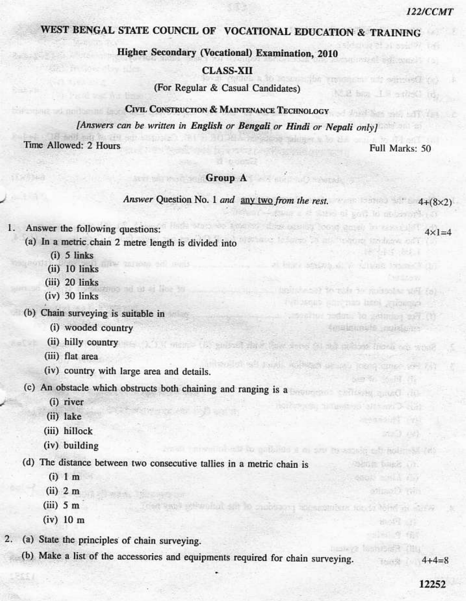$4 \times 1 = 4$ 

## WEST BENGAL STATE COUNCIL OF VOCATIONAL EDUCATION & TRAINING

Higher Secondary (Vocational) Examination, 2010

#### **CLASS-XII**

(For Regular & Casual Candidates)

## CIVIL CONSTRUCTION & MAINTENANCE TECHNOLOGY

[Answers can be written in English or Bengali or Hindi or Nepali only]

Time Allowed: 2 Hours

Full Marks: 50

saido re circu un serrestro.

**CARL AND TO** 

Totald details

30% 275 million

will have I is a rirect to

She al ten lo at control a

to just 34 Suite das vill

scheman heel success

tmalminute revisions

CITIES SERVI

**PARTIE LIBRA INT** 

smomment incents holme and a

heavy Manade

Musatik Iren

五个线

when the coders, to gettining out its

#### Group A and Security A and Security A and A security A and A security A and A security A security A security A

Answer Question No. 1 and any two from the rest.  $4+(8\times2)$ 

**Williams** 

The street hands with the street from

erren innen helse blu gatalde i al seu Brosneg e bladened

- $1.$ Answer the following questions:
	- (a) In a metric chain 2 metre length is divided into
		- $(i)$  5 links
		- (ii) 10 links
		- (iii) 20 links
		- $(iv)$  30 links
	- (b) Chain surveying is suitable in
		- (i) wooded country
		- (ii) hilly country and the state of the second department of the state of the state of the state
		- (iii) flat area
		- (iv) country with large area and details.

(c) An obstacle which obstructs both chaining and ranging is a

sit ar line to

- (i) river
- (ii) lake
- (iii) hillock
- (iv) building

(d) The distance between two consecutive tallies in a metric chain is

- $(i)$  1 m
- $(ii)$  2 m
- $(iii)$  5 m
- $(iv)$  10 m
- (a) State the principles of chain surveying. 2.
	- (b) Make a list of the accessories and equipments required for chain surveying.

sant selfonitat set in capitaona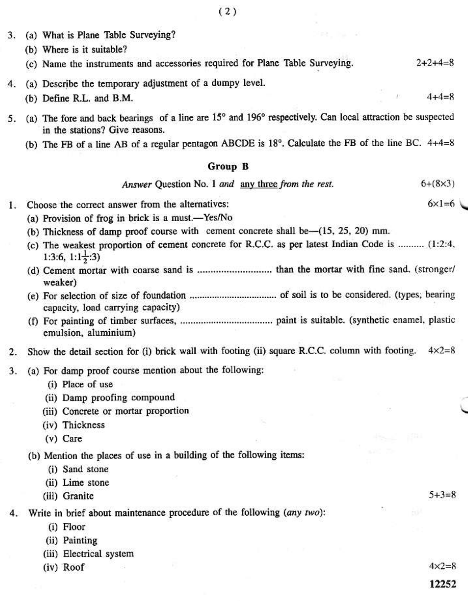- (a) What is Plane Table Surveying? 3.
	- (b) Where is it suitable?
	- (c) Name the instruments and accessories required for Plane Table Surveying.  $2 + 2 + 4 = 8$
- (a) Describe the temporary adjustment of a dumpy level.  $\overline{4}$ .
	- (b) Define R.L. and B.M.
- (a) The fore and back bearings of a line are 15° and 196° respectively. Can local attraction be suspected 5. in the stations? Give reasons.
	- (b) The FB of a line AB of a regular pentagon ABCDE is 18°. Calculate the FB of the line BC. 4+4=8

#### **Group B**

Answer Ouestion No. 1 and any three from the rest.  $6+(8\times3)$ 

- Choose the correct answer from the alternatives:  $1.$ 
	- (a) Provision of frog in brick is a must.-Yes/No
	- (b) Thickness of damp proof course with cement concrete shall be-(15, 25, 20) mm.
	- (c) The weakest proportion of cement concrete for R.C.C. as per latest Indian Code is ......... (1:2:4, 1:3:6, 1:1 $\frac{1}{2}$ :3)
	- weaker)
	- capacity, load carrying capacity)
	- emulsion, aluminium)
- Show the detail section for (i) brick wall with footing (ii) square R.C.C. column with footing.  $4 \times 2 = 8$ 2.
- (a) For damp proof course mention about the following: 3.
	- (i) Place of use
	- (ii) Damp proofing compound
	- (iii) Concrete or mortar proportion
	- (iv) Thickness
	- $(v)$  Care
	- (b) Mention the places of use in a building of the following items:
		- (i) Sand stone
		- (ii) Lime stone
		- (iii) Granite

4. Write in brief about maintenance procedure of the following (any two):

- (i) Floor
- (ii) Painting
- (iii) Electrical system
- (iv) Roof

 $4 \times 2 = 8$ 

 $5 + 3 = 8$ 

12252

 $4 + 4 = 8$ 

 $6 \times 1 = 6$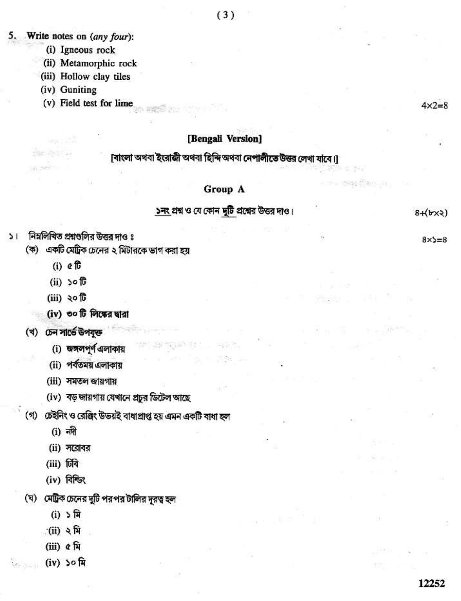#### Write notes on (any four): 5.

- (i) Igneous rock
- (ii) Metamorphic rock
- (iii) Hollow clay tiles
- (iv) Guniting
- (v) Field test for lime

### [Bengali Version]

[বাংলা অথবা ইংরাজী অথবা হিন্দি অথবা নেপালীতে উত্তর লেখা যাবে।]

## Group A

# ১নং প্রশ্ন ও যে কোন দুটি প্রশ্নের উত্তর দাও।

#### নিম্নলিখিত প্রশ্নগুলির উত্তর দাও ঃ  $\geq 1$

- (ক) একটি মেট্রিক চেনের ২ মিটারকে ভাগ করা হয়
	- $(i)$   $\in \mathbb{C}$
	- $(ii)$  soft
	- $(iii)$  ২০টি
	- (iv) ৩০ টি লিঙ্কের দ্বারা
- (খ) ঢেন সার্ভে উপযুক্ত
	- (i) জঙ্গলপূর্ণ এলাকায়
	- (ii) পর্বতময় এলাকায়
	- (iii) সমতল জায়গায়
	- (iv) বড় জায়গায় যেখানে প্রচুর ডিটেল আছে
- (গ) ঢেইনিং ও রেঞ্জিং উভয়ই বাধাপ্রাপ্ত হয় এমন একটি বাধা হল
	- $(i)$  नगी
	- $(ii)$  সরোবর
	- (iii) जिबि
	- (iv) বিশ্জিং
- (ঘ) মেট্রিক চেনের দুটি পরপর টালির দূরত্ব হল
	- $(i)$   $\sqrt[n]{n}$
	- $(ii)$  २ मि
	- (iii) ৫ মি
	- $(iv)$  ১০ মি

# $8+(b \times 2)$

 $8x = 8$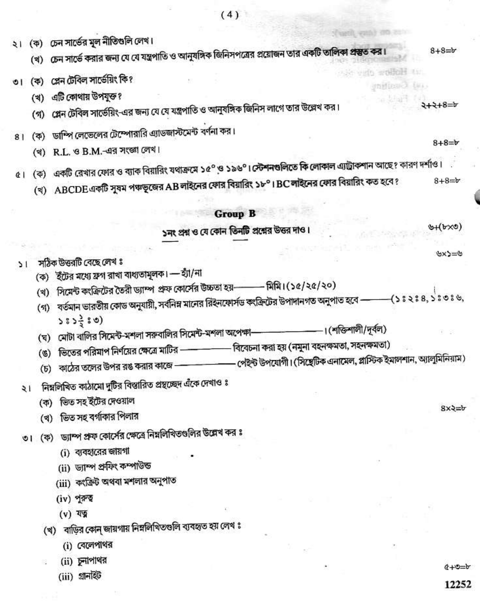২। (ক) চেন সার্ভের মূল নীতিগুলি লেখ।

- (খ) চেন সার্ভে করার জন্য যে যে যন্ত্রপাতি ও আনুষঙ্গিক জিনিসপত্রের প্রয়োজন তার একটি তালিকা প্রস্তুত কর।
- ৩। (ক) প্লেন টেবিল সার্ভেয়িং কি?
	- (খ) এটি কোথায় উপযুক্ত ?
	- (গ) প্লেন টেবিল সার্ভেয়িং-এর জন্য যে যে যন্ত্রপাতি ও আনুষঙ্গিক জিনিস লাগে তার উল্লেখ কর।
- ৪। (ক) ডাম্পি লেভেলের টেম্পোরারি এ্যাডজাস্টমেন্ট বর্ণনা কর।
	- (খ) R.L. ও B.M.-এর সংজ্ঞা লেখ।
- ৫। (ক) একটি রেখার ফোর ও ব্যাক বিয়ারিং যথাক্রমে ১৫° ও ১৯৬°। স্টেশনগুলিতে কি লোকাল এ্যাট্রাকশান আছে? কারণ দর্শাও।
	- (খ) ABCDE একটি সুষম পঞ্চভূজের AB লাইনের ফোর বিয়ারিং ১৮° I BC লাইনের ফোর বিয়ারিং কত হবে ?  $8 + 8 = b$

### **Group B**

১নং প্রশ্ন ও যে কোন তিনটি প্রশ্নের উত্তর দাও।

 $\mathcal{L}(b \times 0)$ 

 $\psi$ = $\zeta$ xٹ

 $8x2=b$ 

 $8 + 8 = b$ 

 $2+2+8=5$ 

 $8 + 8 = b$ 

verb weilen ein.

enstronel

- সঠিক উত্তরটি বেছে লেখ ঃ  $51$ 
	- (ক) ইটের মধ্যে ফ্রগ রাখা বাধ্যতামূলক। হ্যাঁ/না
	- (খ) সিমেন্ট কংক্রিটের তৈরী ড্যাম্প প্রফ কোর্সের উচ্চতা হয়——— মিমি।(১৫/২৫/২০)
	- (গ) বর্তমান ভারতীয় কোড অনুযায়ী, সর্বনিম্ন মানের রিইনফোর্সড ক্ষক্রিটের উপাদানগত অনুপাত হবে ———(১ঃ২ঃ৪,১ঃ৩ঃ৬,  $585\frac{3}{5}80$ )
	- (ঘ) মোটা বালির সিমেন্ট-মশলা সরুবালির সিমেন্ট-মশলা অপেক্ষা-
	- বিবেচনা করা হয় (নমুনা বহনক্ষমতা, সহনক্ষমতা) (ঙ) ভিতের পরিমাপ নির্ণয়ের ক্ষেত্রে মাটির —————
	- পেইন্ট উপযোগী। (সিছেটিক এনামেল, প্লাস্টিক ইমালশান, অ্যালুমিনিয়াম)
	- (চ) কাঠের তলের উপর রঙ করার কাজে —
- ২। নিম্নলিখিত কাঠামো দুটির বিস্তারিত প্রস্থচ্ছেদ এঁকে দেখাও ঃ
	- (ক) ভিত সহ ইটের দেওয়াল
	- (খ) ভিত সহ বৰ্গাকার পিলার
- ৩। (ক) ড্যাম্প প্রফ কোর্সের ক্ষেত্রে নিম্নলিখিতগুলির উল্লেখ কর ঃ
	- (i) ব্যবহারের জায়গা
	- (ii) ড্যাম্প প্ৰফিং কম্পাউন্ড
	- (iii) কংক্রিট অথবা মশলার অনুপাত
	- (iv) পুরুত্ব
	- $(v)$  यज्
	- (খ) বাড়ির কোন্ জায়গায় নিম্নলিখিতগুলি ব্যবহৃত হয় লেখ ঃ
		- (i) বেলেপাথর
		- (ii) চুনাপাথর
			- (iii) গ্ৰানাইট

 $4 - 2 + 6$